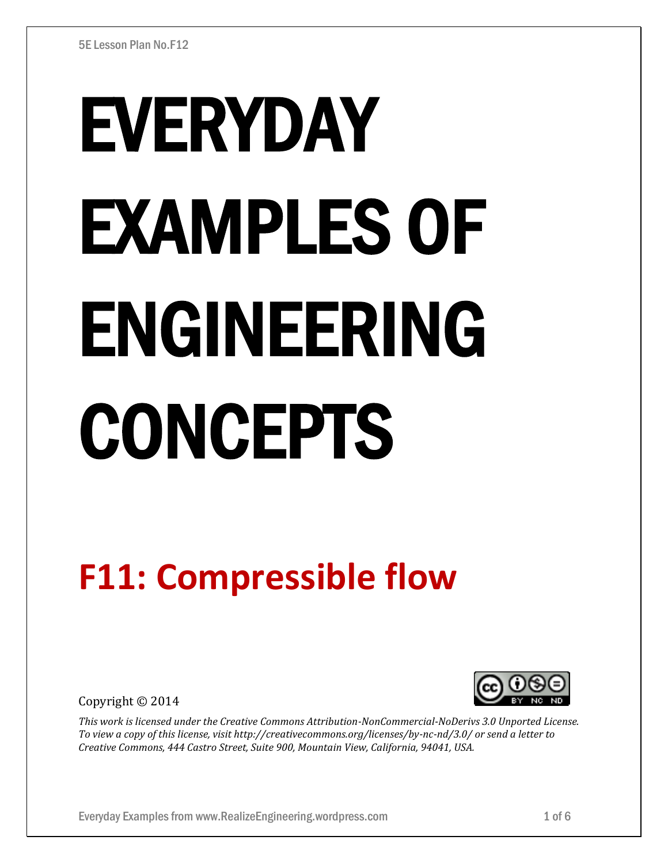# EVERYDAY EXAMPLES OF ENGINEERING CONCEPTS

# **F11: Compressible flow**

Copyright © 2014



*This work is licensed under the Creative Commons Attribution-NonCommercial-NoDerivs 3.0 Unported License. To view a copy of this license, visit http://creativecommons.org/licenses/by-nc-nd/3.0/ or send a letter to Creative Commons, 444 Castro Street, Suite 900, Mountain View, California, 94041, USA.*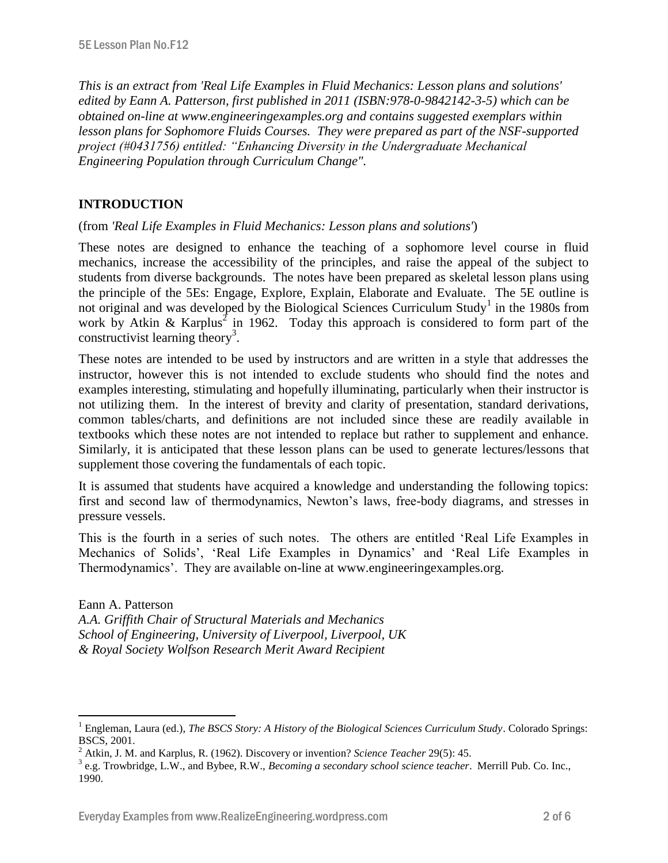*This is an extract from 'Real Life Examples in Fluid Mechanics: Lesson plans and solutions' edited by Eann A. Patterson, first published in 2011 (ISBN:978-0-9842142-3-5) which can be obtained on-line at www.engineeringexamples.org and contains suggested exemplars within lesson plans for Sophomore Fluids Courses. They were prepared as part of the NSF-supported project (#0431756) entitled: "Enhancing Diversity in the Undergraduate Mechanical Engineering Population through Curriculum Change".* 

# **INTRODUCTION**

 $\overline{a}$ 

(from *'Real Life Examples in Fluid Mechanics: Lesson plans and solutions'*)

These notes are designed to enhance the teaching of a sophomore level course in fluid mechanics, increase the accessibility of the principles, and raise the appeal of the subject to students from diverse backgrounds. The notes have been prepared as skeletal lesson plans using the principle of the 5Es: Engage, Explore, Explain, Elaborate and Evaluate. The 5E outline is not original and was developed by the Biological Sciences Curriculum Study<sup>1</sup> in the 1980s from work by Atkin & Karplus<sup>2</sup> in 1962. Today this approach is considered to form part of the constructivist learning theory<sup>3</sup>.

These notes are intended to be used by instructors and are written in a style that addresses the instructor, however this is not intended to exclude students who should find the notes and examples interesting, stimulating and hopefully illuminating, particularly when their instructor is not utilizing them. In the interest of brevity and clarity of presentation, standard derivations, common tables/charts, and definitions are not included since these are readily available in textbooks which these notes are not intended to replace but rather to supplement and enhance. Similarly, it is anticipated that these lesson plans can be used to generate lectures/lessons that supplement those covering the fundamentals of each topic.

It is assumed that students have acquired a knowledge and understanding the following topics: first and second law of thermodynamics, Newton's laws, free-body diagrams, and stresses in pressure vessels.

This is the fourth in a series of such notes. The others are entitled 'Real Life Examples in Mechanics of Solids', 'Real Life Examples in Dynamics' and 'Real Life Examples in Thermodynamics'. They are available on-line at www.engineeringexamples.org.

Eann A. Patterson *A.A. Griffith Chair of Structural Materials and Mechanics School of Engineering, University of Liverpool, Liverpool, UK & Royal Society Wolfson Research Merit Award Recipient*

<sup>1</sup> Engleman, Laura (ed.), *The BSCS Story: A History of the Biological Sciences Curriculum Study*. Colorado Springs: BSCS, 2001.

<sup>2</sup> Atkin, J. M. and Karplus, R. (1962). Discovery or invention? *Science Teacher* 29(5): 45.

<sup>3</sup> e.g. Trowbridge, L.W., and Bybee, R.W., *Becoming a secondary school science teacher*. Merrill Pub. Co. Inc., 1990.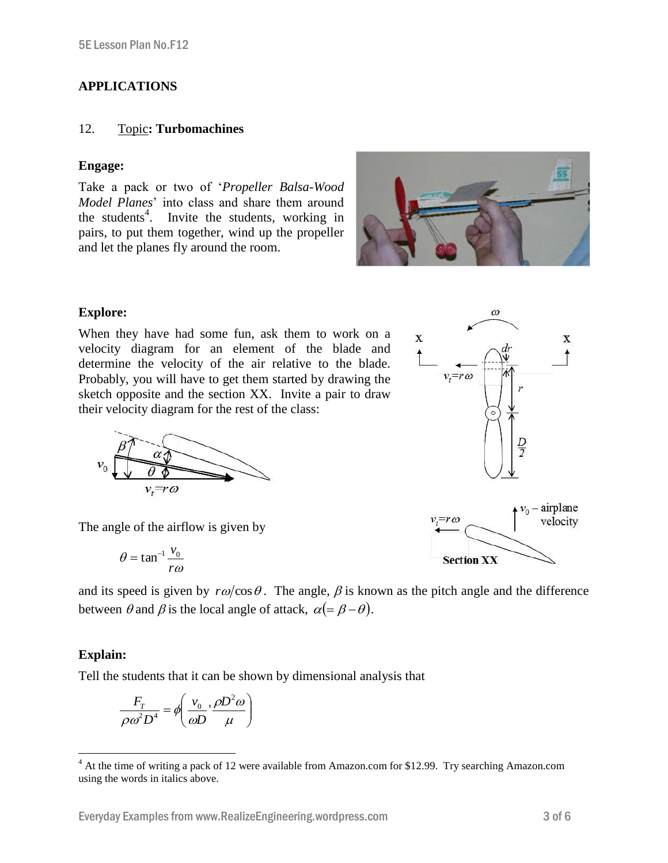## **APPLICATIONS**

### 12. Topic**: Turbomachines**

### **Engage:**

Take a pack or two of '*Propeller Balsa-Wood Model Planes*' into class and share them around the students<sup>4</sup>. Invite the students, working in pairs, to put them together, wind up the propeller and let the planes fly around the room.



### **Explore:**

When they have had some fun, ask them to work on a velocity diagram for an element of the blade and determine the velocity of the air relative to the blade. Probably, you will have to get them started by drawing the sketch opposite and the section XX. Invite a pair to draw their velocity diagram for the rest of the class:



The angle of the airflow is given by

$$
\theta = \tan^{-1} \frac{v_0}{r\omega}
$$

and its speed is given by  $r\omega/\cos\theta$ . The angle,  $\beta$  is known as the pitch angle and the difference between  $\theta$  and  $\beta$  is the local angle of attack,  $\alpha (= \beta - \theta)$ .

### **Explain:**

Tell the students that it can be shown by dimensional analysis that

$$
\frac{F_T}{\rho \omega^2 D^4} = \phi \left( \frac{v_0}{\omega D} \cdot \frac{\rho D^2 \omega}{\mu} \right)
$$





 $\omega$ 



 $\overline{a}$ <sup>4</sup> At the time of writing a pack of 12 were available from Amazon.com for \$12.99. Try searching Amazon.com using the words in italics above.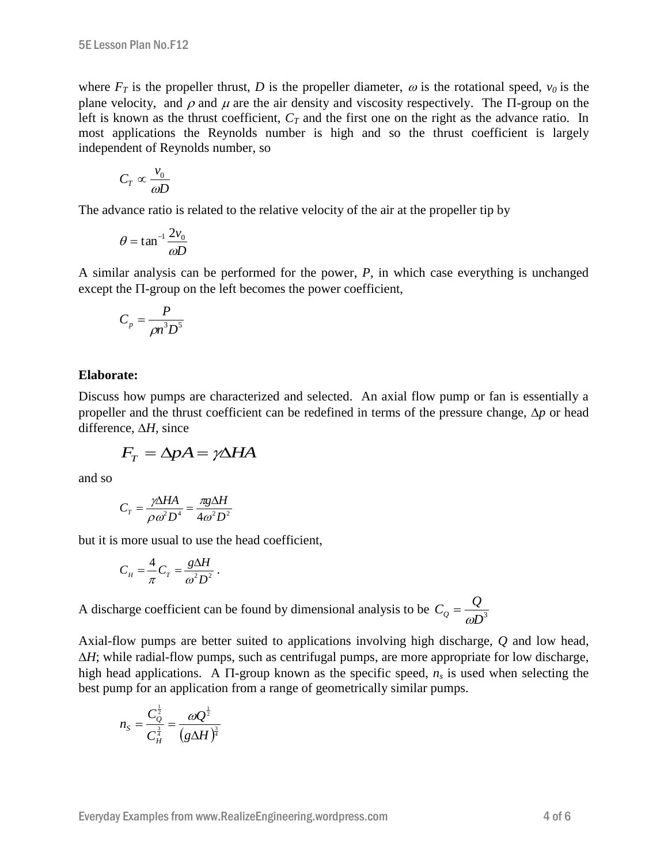where  $F_T$  is the propeller thrust, *D* is the propeller diameter,  $\omega$  is the rotational speed,  $v_0$  is the plane velocity, and  $\rho$  and  $\mu$  are the air density and viscosity respectively. The  $\Pi$ -group on the left is known as the thrust coefficient,  $C_T$  and the first one on the right as the advance ratio. In most applications the Reynolds number is high and so the thrust coefficient is largely independent of Reynolds number, so

$$
C_T \propto \frac{v_0}{\omega D}
$$

The advance ratio is related to the relative velocity of the air at the propeller tip by

$$
\theta = \tan^{-1} \frac{2v_0}{\omega D}
$$

A similar analysis can be performed for the power, *P*, in which case everything is unchanged except the  $\Pi$ -group on the left becomes the power coefficient,

$$
C_p = \frac{P}{\rho n^3 D^5}
$$

### **Elaborate:**

Discuss how pumps are characterized and selected. An axial flow pump or fan is essentially a propeller and the thrust coefficient can be redefined in terms of the pressure change,  $\Delta p$  or head difference,  $\Delta H$ , since

$$
F_T = \Delta p A = \gamma \Delta H A
$$

and so

$$
C_T = \frac{\gamma \Delta H A}{\rho \omega^2 D^4} = \frac{\pi g \Delta H}{4\omega^2 D^2}
$$

but it is more usual to use the head coefficient,

$$
C_H = \frac{4}{\pi} C_T = \frac{g\Delta H}{\omega^2 D^2}.
$$

A discharge coefficient can be found by dimensional analysis to be  $C_Q = \frac{Q}{\omega D^3}$  $C_Q = \frac{Q}{\omega D}$ 

Axial-flow pumps are better suited to applications involving high discharge, *Q* and low head,  $\Delta H$ ; while radial-flow pumps, such as centrifugal pumps, are more appropriate for low discharge, high head applications. A  $\Pi$ -group known as the specific speed,  $n_s$  is used when selecting the best pump for an application from a range of geometrically similar pumps.

$$
n_{S} = \frac{C_{Q}^{\frac{1}{2}}}{C_{H}^{\frac{3}{4}}} = \frac{\omega Q^{\frac{1}{2}}}{\left(g\Delta H\right)^{\frac{3}{4}}}
$$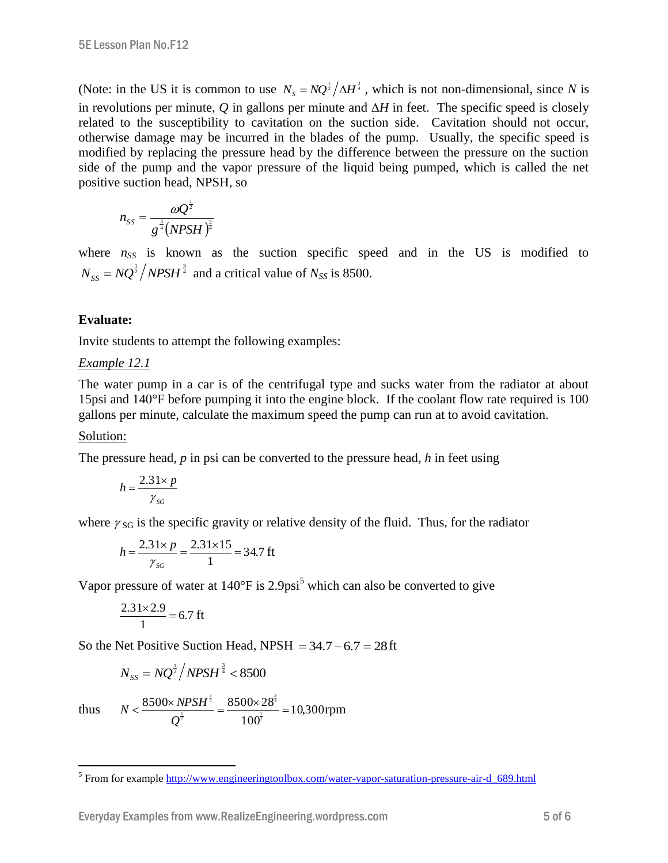(Note: in the US it is common to use  $N_s = NQ^{\frac{1}{2}}/\Delta H^{\frac{3}{4}}$ , which is not non-dimensional, since *N* is in revolutions per minute,  $Q$  in gallons per minute and  $\Delta H$  in feet. The specific speed is closely related to the susceptibility to cavitation on the suction side. Cavitation should not occur, otherwise damage may be incurred in the blades of the pump. Usually, the specific speed is modified by replacing the pressure head by the difference between the pressure on the suction side of the pump and the vapor pressure of the liquid being pumped, which is called the net positive suction head, NPSH, so

$$
n_{SS} = \frac{\omega Q^{\frac{1}{2}}}{g^{\frac{3}{4}}(NPSH)^{\frac{3}{4}}}
$$

where  $n_{SS}$  is known as the suction specific speed and in the US is modified to  $N_{SS} = NQ^{\frac{1}{2}}/NPSH^{\frac{3}{4}}$  and a critical value of  $N_{SS}$  is 8500.

### **Evaluate:**

Invite students to attempt the following examples:

### *Example 12.1*

The water pump in a car is of the centrifugal type and sucks water from the radiator at about 15psi and 140°F before pumping it into the engine block. If the coolant flow rate required is 100 gallons per minute, calculate the maximum speed the pump can run at to avoid cavitation.

### Solution:

The pressure head, *p* in psi can be converted to the pressure head, *h* in feet using

$$
h = \frac{2.31 \times p}{\gamma_{SG}}
$$

where  $\gamma_{SG}$  is the specific gravity or relative density of the fluid. Thus, for the radiator

$$
h = \frac{2.31 \times p}{\gamma_{SG}} = \frac{2.31 \times 15}{1} = 34.7 \text{ ft}
$$

Vapor pressure of water at 140°F is 2.9psi<sup>5</sup> which can also be converted to give

$$
\frac{2.31 \times 2.9}{1} = 6.7 \text{ ft}
$$

So the Net Positive Suction Head, NPSH  $= 34.7 - 6.7 = 28$  ft

$$
N_{SS} = NQ^{\frac{1}{2}}/NPSH^{\frac{3}{4}} < 8500
$$

thus  $N < \frac{0.000 \times 10^{13} \text{ J}}{1} = \frac{0.000 \times 20}{1} = 10,300$ 100  $8500 \times NPSH^{\frac{3}{4}}$  8500 $\times$ 28  $\frac{1}{2}$ 4 3  $\frac{1}{2}$ 4 3  $<\frac{8500\times NPSH^{\frac{2}{3}}}{1}=\frac{8500\times 28^{\frac{2}{3}}}{1}=$ *Q*  $N < \frac{8500 \times NPSH^{\frac{2}{3}}}{\frac{1}{1}} = \frac{8500 \times 28^{\frac{2}{3}}}{\frac{1}{1}} = 10,300$ rpm

<sup>&</sup>lt;sup>5</sup><br>From for example <u>http://www.engineeringtoolbox.com/water-vapor-saturation-pressure-air-d\_689.html</u>